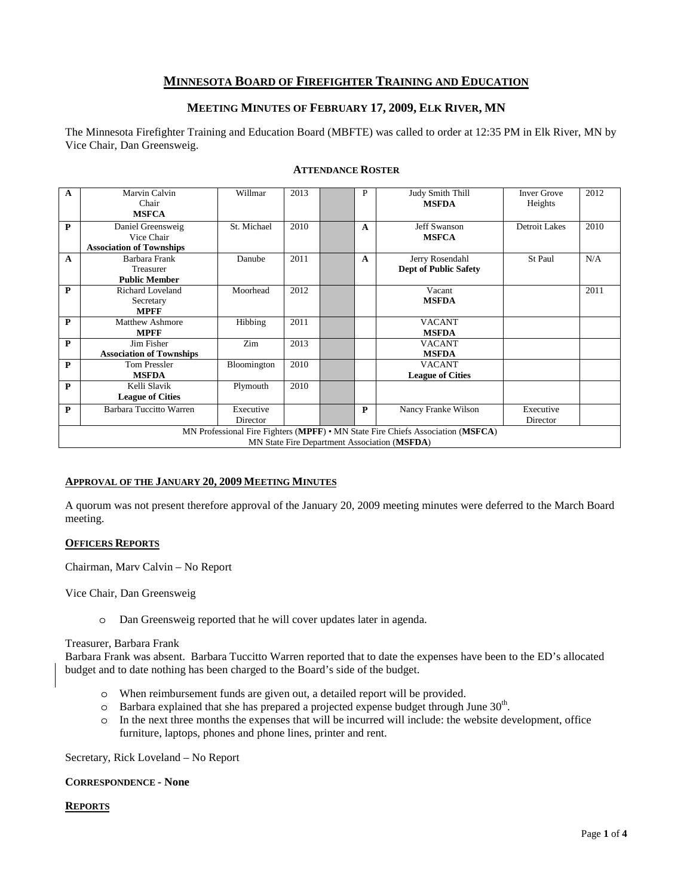# **MINNESOTA BOARD OF FIREFIGHTER TRAINING AND EDUCATION**

# **MEETING MINUTES OF FEBRUARY 17, 2009, ELK RIVER, MN**

The Minnesota Firefighter Training and Education Board (MBFTE) was called to order at 12:35 PM in Elk River, MN by Vice Chair, Dan Greensweig.

| $\mathbf{A}$                                                                    | Marvin Calvin                   | Willmar     | 2013 |  | P            | Judy Smith Thill             | <b>Inver Grove</b>   | 2012 |
|---------------------------------------------------------------------------------|---------------------------------|-------------|------|--|--------------|------------------------------|----------------------|------|
|                                                                                 | Chair                           |             |      |  |              | <b>MSFDA</b>                 | Heights              |      |
|                                                                                 | <b>MSFCA</b>                    |             |      |  |              |                              |                      |      |
| $\mathbf{P}$                                                                    | Daniel Greensweig               | St. Michael | 2010 |  | A            | Jeff Swanson                 | <b>Detroit Lakes</b> | 2010 |
|                                                                                 | Vice Chair                      |             |      |  |              | <b>MSFCA</b>                 |                      |      |
|                                                                                 | <b>Association of Townships</b> |             |      |  |              |                              |                      |      |
| $\mathbf{A}$                                                                    | Barbara Frank                   | Danube      | 2011 |  | $\mathbf{A}$ | Jerry Rosendahl              | St Paul              | N/A  |
|                                                                                 | Treasurer                       |             |      |  |              | <b>Dept of Public Safety</b> |                      |      |
|                                                                                 | <b>Public Member</b>            |             |      |  |              |                              |                      |      |
| $\mathbf{P}$                                                                    | <b>Richard Loveland</b>         | Moorhead    | 2012 |  |              | Vacant                       |                      | 2011 |
|                                                                                 | Secretary                       |             |      |  |              | <b>MSFDA</b>                 |                      |      |
|                                                                                 | <b>MPFF</b>                     |             |      |  |              |                              |                      |      |
| $\mathbf{P}$                                                                    | Matthew Ashmore                 | Hibbing     | 2011 |  |              | <b>VACANT</b>                |                      |      |
|                                                                                 | <b>MPFF</b>                     |             |      |  |              | <b>MSFDA</b>                 |                      |      |
| $\mathbf{P}$                                                                    | Jim Fisher                      | Zim         | 2013 |  |              | <b>VACANT</b>                |                      |      |
|                                                                                 | <b>Association of Townships</b> |             |      |  |              | <b>MSFDA</b>                 |                      |      |
| $\mathbf{P}$                                                                    | <b>Tom Pressler</b>             | Bloomington | 2010 |  |              | <b>VACANT</b>                |                      |      |
|                                                                                 | <b>MSFDA</b>                    |             |      |  |              | <b>League of Cities</b>      |                      |      |
| $\mathbf{P}$                                                                    | Kelli Slavik                    | Plymouth    | 2010 |  |              |                              |                      |      |
|                                                                                 | <b>League of Cities</b>         |             |      |  |              |                              |                      |      |
| P                                                                               | Barbara Tuccitto Warren         | Executive   |      |  | P            | Nancy Franke Wilson          | Executive            |      |
|                                                                                 |                                 | Director    |      |  |              |                              | Director             |      |
| MN Professional Fire Fighters (MPFF) • MN State Fire Chiefs Association (MSFCA) |                                 |             |      |  |              |                              |                      |      |
| MN State Fire Department Association (MSFDA)                                    |                                 |             |      |  |              |                              |                      |      |

# **ATTENDANCE ROSTER**

#### **APPROVAL OF THE JANUARY 20, 2009 MEETING MINUTES**

A quorum was not present therefore approval of the January 20, 2009 meeting minutes were deferred to the March Board meeting.

#### **OFFICERS REPORTS**

Chairman, Marv Calvin – No Report

Vice Chair, Dan Greensweig

o Dan Greensweig reported that he will cover updates later in agenda.

#### Treasurer, Barbara Frank

Barbara Frank was absent. Barbara Tuccitto Warren reported that to date the expenses have been to the ED's allocated budget and to date nothing has been charged to the Board's side of the budget.

- o When reimbursement funds are given out, a detailed report will be provided.
- $\circ$  Barbara explained that she has prepared a projected expense budget through June 30<sup>th</sup>.
- o In the next three months the expenses that will be incurred will include: the website development, office furniture, laptops, phones and phone lines, printer and rent.

Secretary, Rick Loveland – No Report

#### **CORRESPONDENCE - None**

# **REPORTS**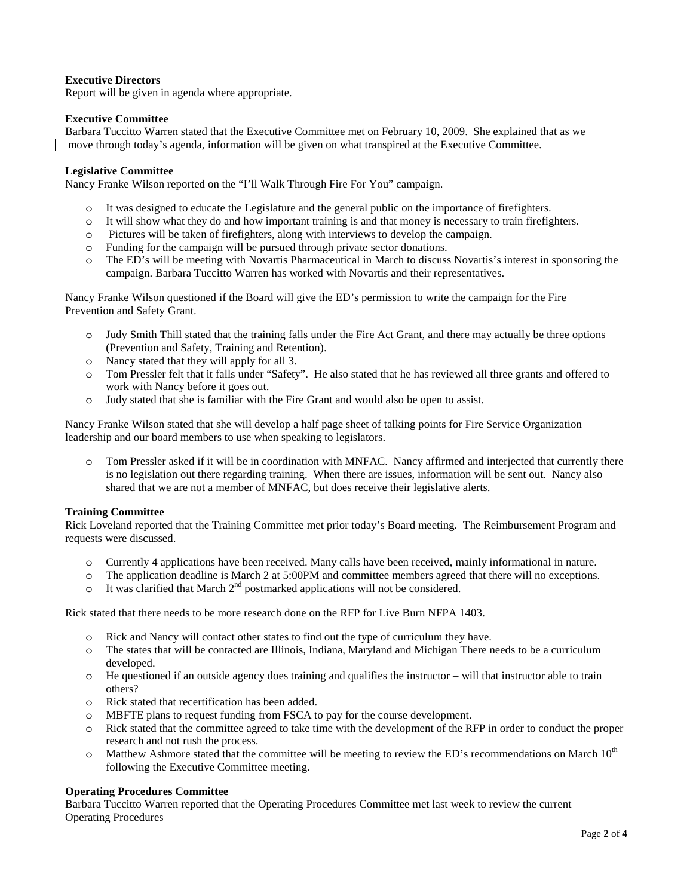# **Executive Directors**

Report will be given in agenda where appropriate.

## **Executive Committee**

Barbara Tuccitto Warren stated that the Executive Committee met on February 10, 2009. She explained that as we move through today's agenda, information will be given on what transpired at the Executive Committee.

# **Legislative Committee**

Nancy Franke Wilson reported on the "I'll Walk Through Fire For You" campaign.

- o It was designed to educate the Legislature and the general public on the importance of firefighters.
- o It will show what they do and how important training is and that money is necessary to train firefighters.
- o Pictures will be taken of firefighters, along with interviews to develop the campaign.
- o Funding for the campaign will be pursued through private sector donations.
- o The ED's will be meeting with Novartis Pharmaceutical in March to discuss Novartis's interest in sponsoring the campaign. Barbara Tuccitto Warren has worked with Novartis and their representatives.

Nancy Franke Wilson questioned if the Board will give the ED's permission to write the campaign for the Fire Prevention and Safety Grant.

- o Judy Smith Thill stated that the training falls under the Fire Act Grant, and there may actually be three options (Prevention and Safety, Training and Retention).
- o Nancy stated that they will apply for all 3.
- o Tom Pressler felt that it falls under "Safety". He also stated that he has reviewed all three grants and offered to work with Nancy before it goes out.
- o Judy stated that she is familiar with the Fire Grant and would also be open to assist.

Nancy Franke Wilson stated that she will develop a half page sheet of talking points for Fire Service Organization leadership and our board members to use when speaking to legislators.

o Tom Pressler asked if it will be in coordination with MNFAC. Nancy affirmed and interjected that currently there is no legislation out there regarding training. When there are issues, information will be sent out. Nancy also shared that we are not a member of MNFAC, but does receive their legislative alerts.

#### **Training Committee**

Rick Loveland reported that the Training Committee met prior today's Board meeting. The Reimbursement Program and requests were discussed.

- o Currently 4 applications have been received. Many calls have been received, mainly informational in nature.
- o The application deadline is March 2 at 5:00PM and committee members agreed that there will no exceptions.
- $\circ$  It was clarified that March  $2<sup>nd</sup>$  postmarked applications will not be considered.

Rick stated that there needs to be more research done on the RFP for Live Burn NFPA 1403.

- o Rick and Nancy will contact other states to find out the type of curriculum they have.
- o The states that will be contacted are Illinois, Indiana, Maryland and Michigan There needs to be a curriculum developed.
- $\circ$  He questioned if an outside agency does training and qualifies the instructor will that instructor able to train others?
- o Rick stated that recertification has been added.
- o MBFTE plans to request funding from FSCA to pay for the course development.
- o Rick stated that the committee agreed to take time with the development of the RFP in order to conduct the proper research and not rush the process.
- $\circ$  Matthew Ashmore stated that the committee will be meeting to review the ED's recommendations on March 10<sup>th</sup> following the Executive Committee meeting.

# **Operating Procedures Committee**

Barbara Tuccitto Warren reported that the Operating Procedures Committee met last week to review the current Operating Procedures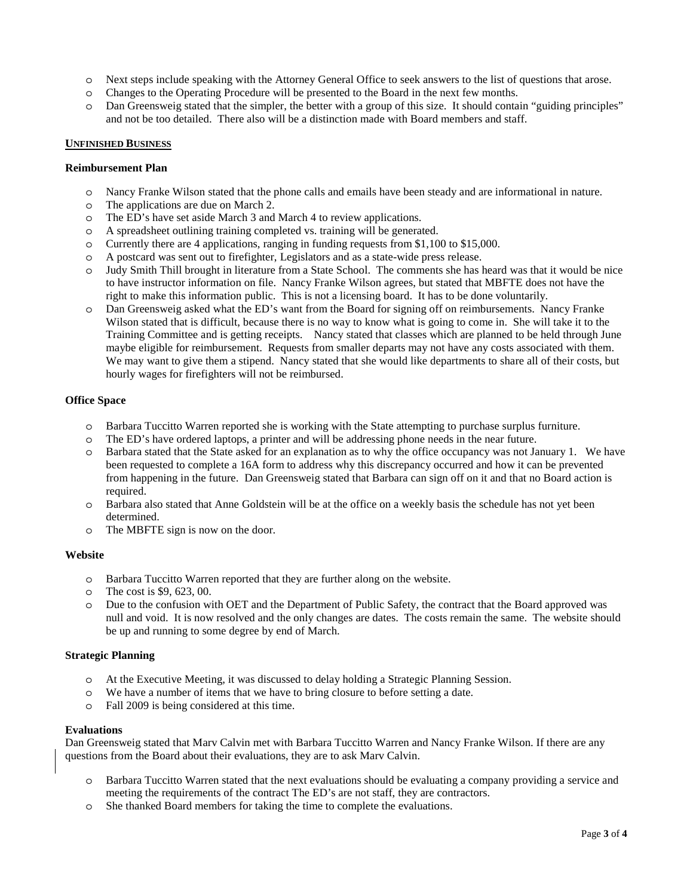- o Next steps include speaking with the Attorney General Office to seek answers to the list of questions that arose.
- o Changes to the Operating Procedure will be presented to the Board in the next few months.
- o Dan Greensweig stated that the simpler, the better with a group of this size. It should contain "guiding principles" and not be too detailed. There also will be a distinction made with Board members and staff.

#### **UNFINISHED BUSINESS**

#### **Reimbursement Plan**

- o Nancy Franke Wilson stated that the phone calls and emails have been steady and are informational in nature.
- o The applications are due on March 2.
- o The ED's have set aside March 3 and March 4 to review applications.
- o A spreadsheet outlining training completed vs. training will be generated.
- o Currently there are 4 applications, ranging in funding requests from \$1,100 to \$15,000.
- o A postcard was sent out to firefighter, Legislators and as a state-wide press release.
- o Judy Smith Thill brought in literature from a State School. The comments she has heard was that it would be nice to have instructor information on file. Nancy Franke Wilson agrees, but stated that MBFTE does not have the right to make this information public. This is not a licensing board. It has to be done voluntarily.
- o Dan Greensweig asked what the ED's want from the Board for signing off on reimbursements. Nancy Franke Wilson stated that is difficult, because there is no way to know what is going to come in. She will take it to the Training Committee and is getting receipts. Nancy stated that classes which are planned to be held through June maybe eligible for reimbursement. Requests from smaller departs may not have any costs associated with them. We may want to give them a stipend. Nancy stated that she would like departments to share all of their costs, but hourly wages for firefighters will not be reimbursed.

#### **Office Space**

- o Barbara Tuccitto Warren reported she is working with the State attempting to purchase surplus furniture.
- o The ED's have ordered laptops, a printer and will be addressing phone needs in the near future.
- o Barbara stated that the State asked for an explanation as to why the office occupancy was not January 1. We have been requested to complete a 16A form to address why this discrepancy occurred and how it can be prevented from happening in the future. Dan Greensweig stated that Barbara can sign off on it and that no Board action is required.
- o Barbara also stated that Anne Goldstein will be at the office on a weekly basis the schedule has not yet been determined.
- o The MBFTE sign is now on the door.

#### **Website**

- o Barbara Tuccitto Warren reported that they are further along on the website.
- o The cost is \$9, 623, 00.
- o Due to the confusion with OET and the Department of Public Safety, the contract that the Board approved was null and void. It is now resolved and the only changes are dates. The costs remain the same. The website should be up and running to some degree by end of March.

# **Strategic Planning**

- o At the Executive Meeting, it was discussed to delay holding a Strategic Planning Session.
- o We have a number of items that we have to bring closure to before setting a date.
- o Fall 2009 is being considered at this time.

#### **Evaluations**

Dan Greensweig stated that Marv Calvin met with Barbara Tuccitto Warren and Nancy Franke Wilson. If there are any questions from the Board about their evaluations, they are to ask Marv Calvin.

- o Barbara Tuccitto Warren stated that the next evaluations should be evaluating a company providing a service and meeting the requirements of the contract The ED's are not staff, they are contractors.
- o She thanked Board members for taking the time to complete the evaluations.